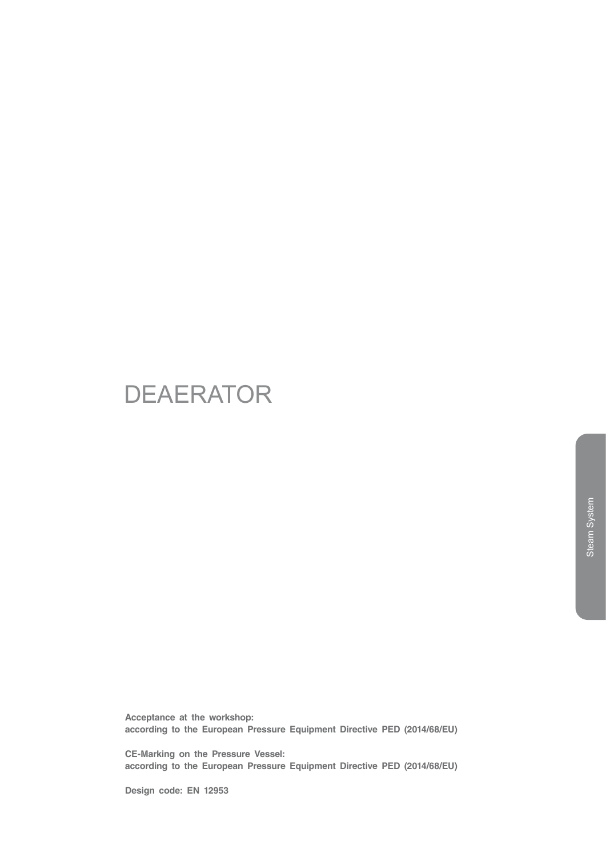# DEAERATOR

**Acceptance at the workshop: according to the European Pressure Equipment Directive PED (2014/68/EU)**

**CE-Marking on the Pressure Vessel: according to the European Pressure Equipment Directive PED (2014/68/EU)**

**Design code: EN 12953**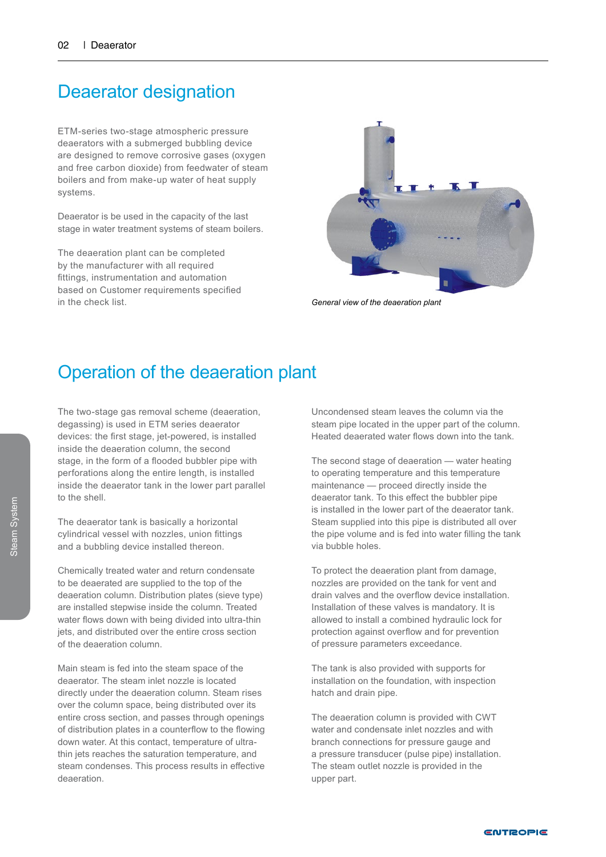#### Deaerator designation

ETM-series two-stage atmospheric pressure deaerators with a submerged bubbling device are designed to remove corrosive gases (oxygen and free carbon dioxide) from feedwater of steam boilers and from make-up water of heat supply systems.

Deaerator is be used in the capacity of the last stage in water treatment systems of steam boilers.

The deaeration plant can be completed by the manufacturer with all required fittings, instrumentation and automation based on Customer requirements specified in the check list.



*General view of the deaeration plant*

#### Operation of the deaeration plant

The two-stage gas removal scheme (deaeration, degassing) is used in ETM series deaerator devices: the first stage, jet-powered, is installed inside the deaeration column, the second stage, in the form of a flooded bubbler pipe with perforations along the entire length, is installed inside the deaerator tank in the lower part parallel to the shell.

The deaerator tank is basically a horizontal cylindrical vessel with nozzles, union fittings and a bubbling device installed thereon.

Chemically treated water and return condensate to be deaerated are supplied to the top of the deaeration column. Distribution plates (sieve type) are installed stepwise inside the column. Treated water flows down with being divided into ultra-thin jets, and distributed over the entire cross section of the deaeration column.

Main steam is fed into the steam space of the deaerator. The steam inlet nozzle is located directly under the deaeration column. Steam rises over the column space, being distributed over its entire cross section, and passes through openings of distribution plates in a counterflow to the flowing down water. At this contact, temperature of ultrathin jets reaches the saturation temperature, and steam condenses. This process results in effective deaeration.

Uncondensed steam leaves the column via the steam pipe located in the upper part of the column. Heated deaerated water flows down into the tank.

The second stage of deaeration — water heating to operating temperature and this temperature maintenance — proceed directly inside the deaerator tank. To this effect the bubbler pipe is installed in the lower part of the deaerator tank. Steam supplied into this pipe is distributed all over the pipe volume and is fed into water filling the tank via bubble holes.

To protect the deaeration plant from damage, nozzles are provided on the tank for vent and drain valves and the overflow device installation. Installation of these valves is mandatory. It is allowed to install a combined hydraulic lock for protection against overflow and for prevention of pressure parameters exceedance.

The tank is also provided with supports for installation on the foundation, with inspection hatch and drain pipe.

The deaeration column is provided with CWT water and condensate inlet nozzles and with branch connections for pressure gauge and a pressure transducer (pulse pipe) installation. The steam outlet nozzle is provided in the upper part.

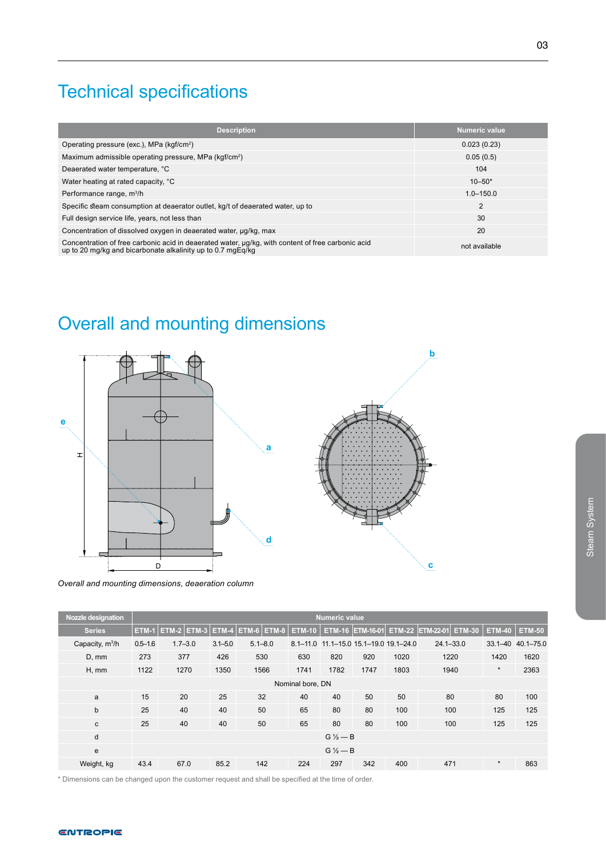# Technical specifications

| Description                                                                                                                                                      | Numeric value  |
|------------------------------------------------------------------------------------------------------------------------------------------------------------------|----------------|
| Operating pressure (exc.), MPa (kgf/cm <sup>2</sup> )                                                                                                            | 0.023(0.23)    |
| Maximum admissible operating pressure, MPa (kgf/cm <sup>2</sup> )                                                                                                | 0.05(0.5)      |
| Deaerated water temperature, °C                                                                                                                                  | 104            |
| Water heating at rated capacity, °C                                                                                                                              | $10 - 50*$     |
| Performance range, m <sup>3</sup> /h                                                                                                                             | $1.0 - 150.0$  |
| Specific steam consumption at deaerator outlet, kg/t of deaerated water, up to                                                                                   | $\overline{2}$ |
| Full design service life, years, not less than                                                                                                                   | 30             |
| Concentration of dissolved oxygen in deaerated water, ug/kg, max                                                                                                 | 20             |
| Concentration of free carbonic acid in deaerated water, µg/kg, with content of free carbonic acid<br>up to 20 mg/kg and bicarbonate alkalinity up to 0.7 mgEg/kg | not available  |

# Overall and mounting dimensions



*Overall and mounting dimensions, deaeration column*

| <b>Nozzle designation</b> |                  | <b>Numeric value</b> |             |                                 |               |                    |                               |      |                                                    |               |               |  |  |
|---------------------------|------------------|----------------------|-------------|---------------------------------|---------------|--------------------|-------------------------------|------|----------------------------------------------------|---------------|---------------|--|--|
| <b>Series</b>             | ETM-1            |                      |             | $ETM-2$ ETM-3 ETM-4 ETM-6 ETM-8 | <b>ETM-10</b> |                    |                               |      | ETM-16 ETM-16-01 ETM-22 ETM-22-01<br><b>ETM-30</b> | <b>ETM-40</b> | <b>ETM-50</b> |  |  |
| Capacity, $m^3/h$         | $0.5 - 1.6$      | $1.7 - 3.0$          | $3.1 - 5.0$ | $5.1 - 8.0$                     | $8.1 - 11.0$  |                    | 11.1-15.0 15.1-19.0 19.1-24.0 |      | $24.1 - 33.0$                                      | $33.1 - 40$   | $40.1 - 75.0$ |  |  |
| D, mm                     | 273              | 377                  | 426         | 530                             | 630           | 820                | 920                           | 1020 | 1220                                               | 1420          | 1620          |  |  |
| H, mm                     | 1122             | 1270                 | 1350        | 1566                            | 1741          | 1782               | 1747                          | 1803 | 1940                                               | $\star$       | 2363          |  |  |
|                           | Nominal bore, DN |                      |             |                                 |               |                    |                               |      |                                                    |               |               |  |  |
| a                         | 15               | 20                   | 25          | 32                              | 40            | 40                 | 50                            | 50   | 80                                                 | 80            | 100           |  |  |
| b                         | 25               | 40                   | 40          | 50                              | 65            | 80                 | 80                            | 100  | 100                                                | 125           | 125           |  |  |
| c                         | 25               | 40                   | 40          | 50                              | 65            | 80                 | 80                            | 100  | 100                                                | 125           | 125           |  |  |
| d                         | $G\frac{1}{2}-B$ |                      |             |                                 |               |                    |                               |      |                                                    |               |               |  |  |
| e                         |                  |                      |             |                                 |               | $G\frac{1}{2}$ – B |                               |      |                                                    |               |               |  |  |
| Weight, kg                | 43.4             | 67.0                 | 85.2        | 142                             | 224           | 297                | 342                           | 400  | 471                                                | $\star$       | 863           |  |  |

\* Dimensions can be changed upon the customer request and shall be specified at the time of order.

Steam System

Steam System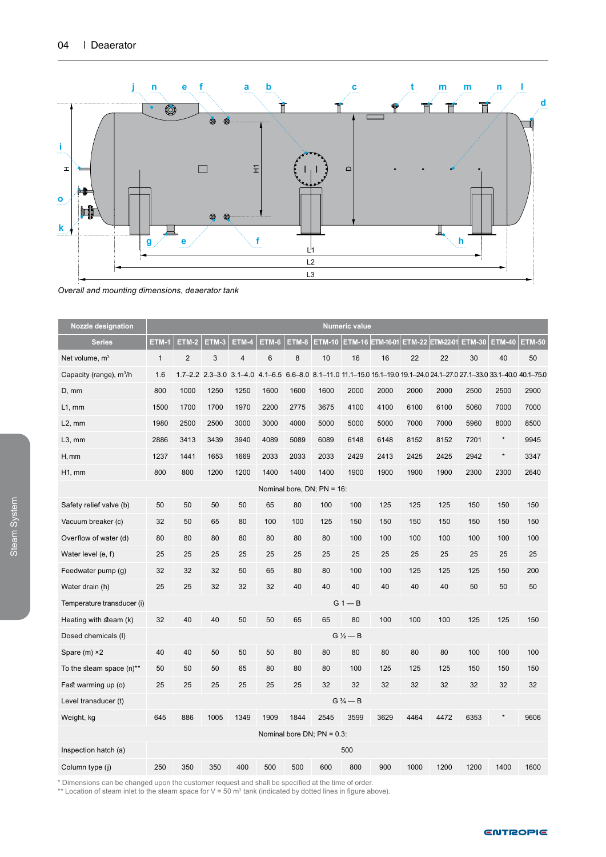

#### *Overall and mounting dimensions, deaerator tank*

| <b>Nozzle designation</b>           | <b>Numeric value</b> |                |       |                         |                |       |                                  |                    |                  |      |                                                                                                                        |               |               |               |
|-------------------------------------|----------------------|----------------|-------|-------------------------|----------------|-------|----------------------------------|--------------------|------------------|------|------------------------------------------------------------------------------------------------------------------------|---------------|---------------|---------------|
| <b>Series</b>                       | <b>ETM-1</b>         | <b>ETM-2</b>   | ETM-3 | ETM-4                   | ETM-6          | ETM-8 | ETM-10                           |                    | ETM-16 ETM-16-01 |      | ETM-22 ETM-22-01                                                                                                       | <b>ETM-30</b> | <b>ETM-40</b> | <b>ETM-50</b> |
| Net volume, $m3$                    | $\mathbf{1}$         | $\overline{2}$ | 3     | $\overline{\mathbf{4}}$ | $6\phantom{1}$ | 8     | 10                               | 16                 | 16               | 22   | 22                                                                                                                     | 30            | 40            | 50            |
| Capacity (range), m <sup>3</sup> /h | 1.6                  |                |       |                         |                |       |                                  |                    |                  |      | 1.7-2.2 2.3-3.0 3.1-4.0 4.1-6.5 6.6-8.0 8.1-11.0 11.1-15.0 15.1-19.0 19.1-24.0 24.1-27.0 27.1-33.0 33.1-40.0 40.1-75.0 |               |               |               |
| $D, \, mm$                          | 800                  | 1000           | 1250  | 1250                    | 1600           | 1600  | 1600                             | 2000               | 2000             | 2000 | 2000                                                                                                                   | 2500          | 2500          | 2900          |
| $L1$ , mm                           | 1500                 | 1700           | 1700  | 1970                    | 2200           | 2775  | 3675                             | 4100               | 4100             | 6100 | 6100                                                                                                                   | 5060          | 7000          | 7000          |
| $L2$ , mm                           | 1980                 | 2500           | 2500  | 3000                    | 3000           | 4000  | 5000                             | 5000               | 5000             | 7000 | 7000                                                                                                                   | 5960          | 8000          | 8500          |
| $L3$ , mm                           | 2886                 | 3413           | 3439  | 3940                    | 4089           | 5089  | 6089                             | 6148               | 6148             | 8152 | 8152                                                                                                                   | 7201          | $\star$       | 9945          |
| H, mm                               | 1237                 | 1441           | 1653  | 1669                    | 2033           | 2033  | 2033                             | 2429               | 2413             | 2425 | 2425                                                                                                                   | 2942          | $\star$       | 3347          |
| H1, mm                              | 800                  | 800            | 1200  | 1200                    | 1400           | 1400  | 1400                             | 1900               | 1900             | 1900 | 1900                                                                                                                   | 2300          | 2300          | 2640          |
|                                     |                      |                |       |                         |                |       | Nominal bore, DN; PN = 16:       |                    |                  |      |                                                                                                                        |               |               |               |
| Safety relief valve (b)             | 50                   | 50             | 50    | 50                      | 65             | 80    | 100                              | 100                | 125              | 125  | 125                                                                                                                    | 150           | 150           | 150           |
| Vacuum breaker (c)                  | 32                   | 50             | 65    | 80                      | 100            | 100   | 125                              | 150                | 150              | 150  | 150                                                                                                                    | 150           | 150           | 150           |
| Overflow of water (d)               | 80                   | 80             | 80    | 80                      | 80             | 80    | 80                               | 100                | 100              | 100  | 100                                                                                                                    | 100           | 100           | 100           |
| Water level (e, f)                  | 25                   | 25             | 25    | 25                      | 25             | 25    | 25                               | 25                 | 25               | 25   | 25                                                                                                                     | 25            | 25            | 25            |
| Feedwater pump (g)                  | 32                   | 32             | 32    | 50                      | 65             | 80    | 80                               | 100                | 100              | 125  | 125                                                                                                                    | 125           | 150           | 200           |
| Water drain (h)                     | 25                   | 25             | 32    | 32                      | 32             | 40    | 40                               | 40                 | 40               | 40   | 40                                                                                                                     | 50            | 50            | 50            |
| Temperature transducer (i)          |                      |                |       |                         |                |       |                                  | $G1 - B$           |                  |      |                                                                                                                        |               |               |               |
| Heating with steam (k)              | 32                   | 40             | 40    | 50                      | 50             | 65    | 65                               | 80                 | 100              | 100  | 100                                                                                                                    | 125           | 125           | 150           |
| Dosed chemicals (I)                 |                      |                |       |                         |                |       |                                  | $G\frac{1}{2}$ - B |                  |      |                                                                                                                        |               |               |               |
| Spare $(m)$ $\times$ 2              | 40                   | 40             | 50    | 50                      | 50             | 80    | 80                               | 80                 | 80               | 80   | 80                                                                                                                     | 100           | 100           | 100           |
| To the steam space (n)**            | 50                   | 50             | 50    | 65                      | 80             | 80    | 80                               | 100                | 125              | 125  | 125                                                                                                                    | 150           | 150           | 150           |
| Fast warming up (o)                 | 25                   | 25             | 25    | 25                      | 25             | 25    | 32                               | 32                 | 32               | 32   | 32                                                                                                                     | 32            | 32            | 32            |
| Level transducer (t)                |                      |                |       |                         |                |       |                                  | $G\frac{3}{4} - B$ |                  |      |                                                                                                                        |               |               |               |
| Weight, kg                          | 645                  | 886            | 1005  | 1349                    | 1909           | 1844  | 2545                             | 3599               | 3629             | 4464 | 4472                                                                                                                   | 6353          |               | 9606          |
|                                     |                      |                |       |                         |                |       | Nominal bore $DN$ ; $PN = 0.3$ : |                    |                  |      |                                                                                                                        |               |               |               |
| Inspection hatch (a)                |                      |                |       |                         |                |       |                                  | 500                |                  |      |                                                                                                                        |               |               |               |
| Column type (j)                     | 250                  | 350            | 350   | 400                     | 500            | 500   | 600                              | 800                | 900              | 1000 | 1200                                                                                                                   | 1200          | 1400          | 1600          |

\* Dimensions can be changed upon the customer request and shall be specified at the time of order.<br>\*\* Location of steam inlet to the steam space for V = 50 m<sup>3</sup> tank (indicated by dotted lines in figure above).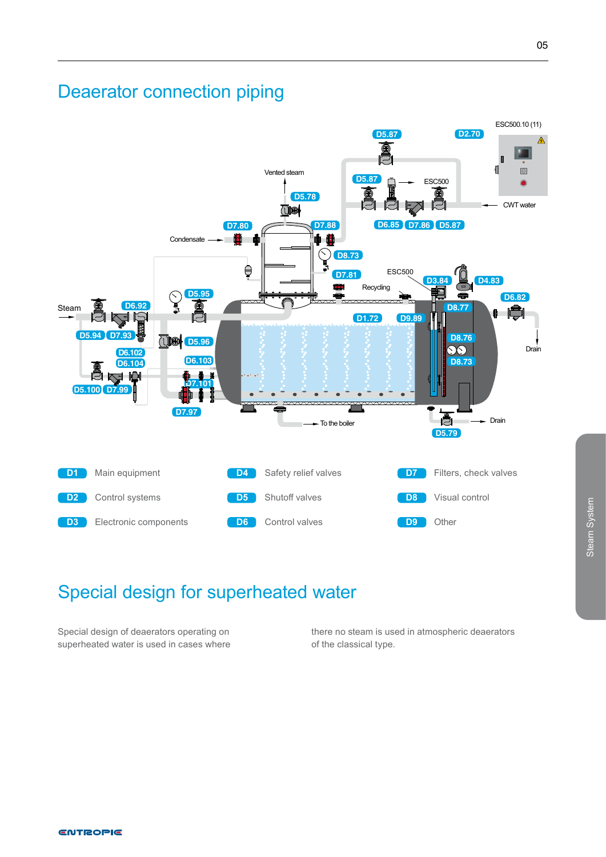### Deaerator connection piping



### Special design for superheated water

Special design of deaerators operating on superheated water is used in cases where there no steam is used in atmospheric deaerators of the classical type.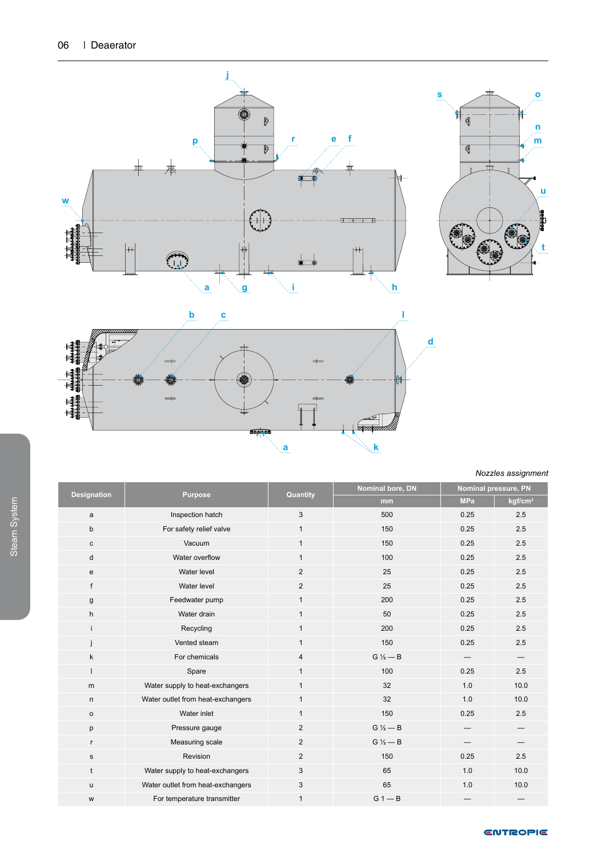





*Nozzles assignment*

| <b>Designation</b> | <b>Purpose</b>                    | Quantity       | Nominal bore, DN   | Nominal pressure, PN |                     |  |
|--------------------|-----------------------------------|----------------|--------------------|----------------------|---------------------|--|
|                    |                                   |                | mm                 | <b>MPa</b>           | kgf/cm <sup>2</sup> |  |
| a                  | Inspection hatch                  | 3              | 500                | 0.25                 | 2.5                 |  |
| b                  | For safety relief valve           | $\mathbf{1}$   | 150                | 0.25                 | 2.5                 |  |
| с                  | Vacuum                            | $\mathbf{1}$   | 150                | 0.25                 | 2.5                 |  |
| d                  | Water overflow                    | $\mathbf{1}$   | 100                | 0.25                 | 2.5                 |  |
| e                  | Water level                       | $\overline{2}$ | 25                 | 0.25                 | 2.5                 |  |
| f                  | Water level                       | $\overline{2}$ | 25                 | 0.25                 | 2.5                 |  |
| g                  | Feedwater pump                    | $\mathbf{1}$   | 200                | 0.25                 | 2.5                 |  |
| h                  | Water drain                       | $\mathbf{1}$   | 50                 | 0.25                 | 2.5                 |  |
| Ť.                 | Recycling                         | $\mathbf{1}$   | 200                | 0.25                 | 2.5                 |  |
|                    | Vented steam                      | $\mathbf{1}$   | 150                | 0.25                 | 2.5                 |  |
| k                  | For chemicals                     | 4              | $G\frac{1}{2}$ - B |                      |                     |  |
| I.                 | Spare                             | $\mathbf{1}$   | 100                | 0.25                 | 2.5                 |  |
| m                  | Water supply to heat-exchangers   | $\mathbf{1}$   | 32                 | 1.0                  | 10.0                |  |
| $\mathsf{n}$       | Water outlet from heat-exchangers | $\mathbf{1}$   | 32                 | 1.0                  | 10.0                |  |
| $\mathsf{o}$       | Water inlet                       | $\mathbf{1}$   | 150                | 0.25                 | 2.5                 |  |
| р                  | Pressure gauge                    | $\overline{2}$ | $G\frac{1}{2}$ - B |                      |                     |  |
| $\mathsf{r}$       | Measuring scale                   | 2              | $G\frac{1}{2}$ - B |                      |                     |  |
| s                  | Revision                          | 2              | 150                | 0.25                 | 2.5                 |  |
| t                  | Water supply to heat-exchangers   | 3              | 65                 | 1.0                  | 10.0                |  |
| u                  | Water outlet from heat-exchangers | 3              | 65                 | 1.0                  | 10.0                |  |
| W                  | For temperature transmitter       | $\mathbf{1}$   | $G1 - B$           |                      |                     |  |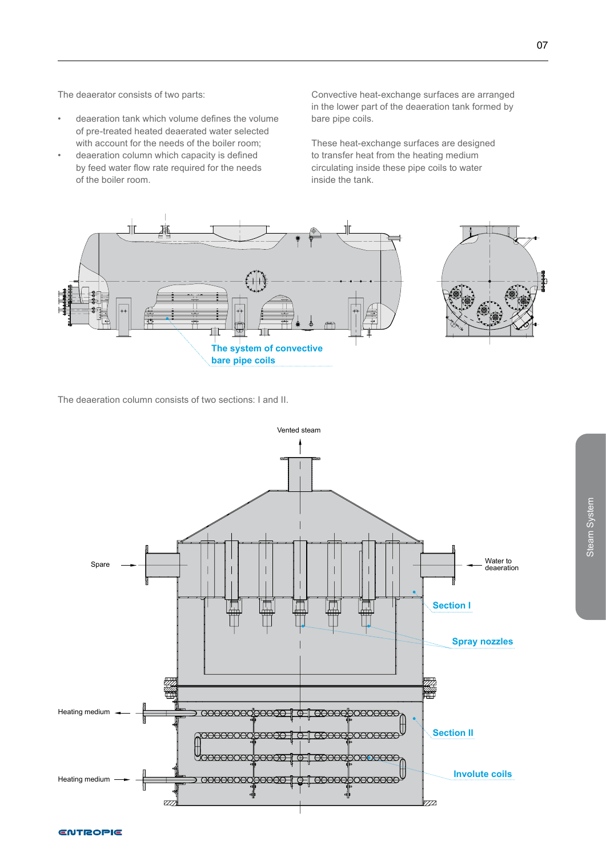The deaerator consists of two parts:

- deaeration tank which volume defines the volume of pre-treated heated deaerated water selected with account for the needs of the boiler room;
- deaeration column which capacity is defined by feed water flow rate required for the needs of the boiler room.

Convective heat-exchange surfaces are arranged in the lower part of the deaeration tank formed by bare pipe coils.

These heat-exchange surfaces are designed to transfer heat from the heating medium circulating inside these pipe coils to water inside the tank.



The deaeration column consists of two sections: I and II.

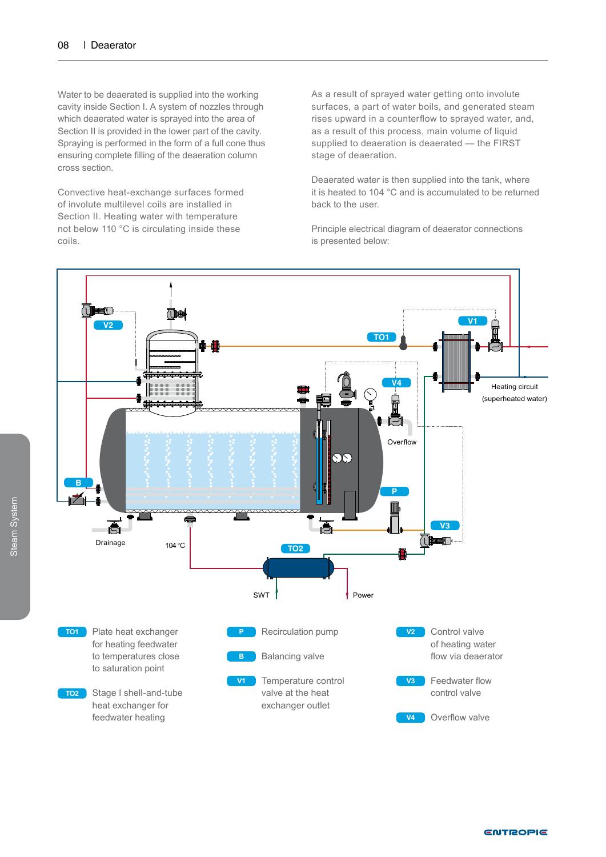Water to be deaerated is supplied into the working cavity inside Section I. A system of nozzles through which deaerated water is sprayed into the area of Section II is provided in the lower part of the cavity. Spraying is performed in the form of a full cone thus ensuring complete filling of the deaeration column cross section.

Convective heat-exchange surfaces formed of involute multilevel coils are installed in Section II. Heating water with temperature not below 110 °C is circulating inside these coils.

As a result of sprayed water getting onto involute surfaces, a part of water boils, and generated steam rises upward in a counterflow to sprayed water, and, as a result of this process, main volume of liquid supplied to deaeration is deaerated — the FIRST stage of deaeration.

Deaerated water is then supplied into the tank, where it is heated to 104 °C and is accumulated to be returned back to the user.

Principle electrical diagram of deaerator connections is presented below:



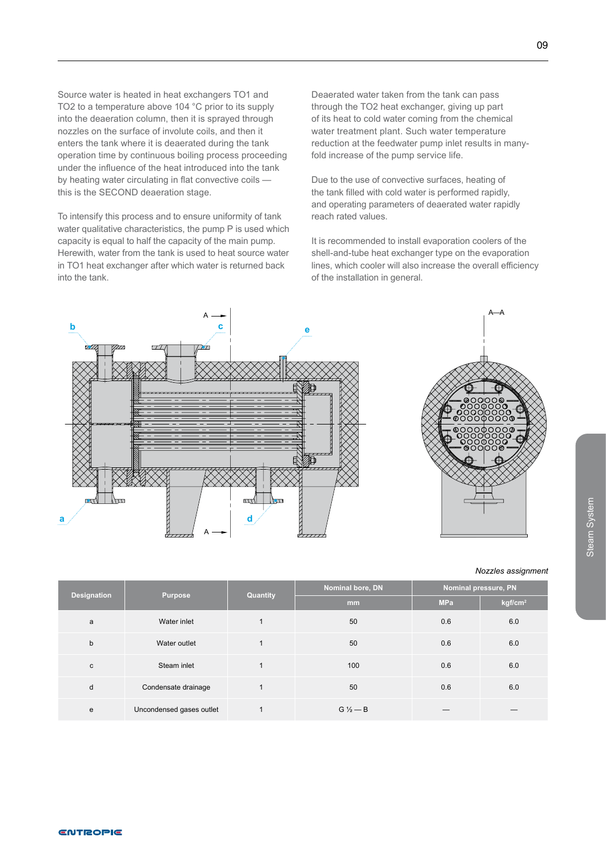Source water is heated in heat exchangers TO1 and TO2 to a temperature above 104 °C prior to its supply into the deaeration column, then it is sprayed through nozzles on the surface of involute coils, and then it enters the tank where it is deaerated during the tank operation time by continuous boiling process proceeding under the influence of the heat introduced into the tank by heating water circulating in flat convective coils this is the SECOND deaeration stage.

To intensify this process and to ensure uniformity of tank water qualitative characteristics, the pump P is used which capacity is equal to half the capacity of the main pump. Herewith, water from the tank is used to heat source water in TO1 heat exchanger after which water is returned back into the tank.

Deaerated water taken from the tank can pass through the TO2 heat exchanger, giving up part of its heat to cold water coming from the chemical water treatment plant. Such water temperature reduction at the feedwater pump inlet results in manyfold increase of the pump service life.

Due to the use of convective surfaces, heating of the tank filled with cold water is performed rapidly, and operating parameters of deaerated water rapidly reach rated values.

It is recommended to install evaporation coolers of the shell-and-tube heat exchanger type on the evaporation lines, which cooler will also increase the overall efficiency of the installation in general.





#### *Nozzles assignment*

Steam System

Steam System

|             |                          | Quantity | Nominal bore, DN | Nominal pressure, PN |                     |  |
|-------------|--------------------------|----------|------------------|----------------------|---------------------|--|
| Designation | <b>Purpose</b>           |          | m <sub>m</sub>   | <b>MPa</b>           | kgf/cm <sup>2</sup> |  |
| a           | Water inlet              |          | 50               | 0.6                  | 6.0                 |  |
| b           | Water outlet             |          | 50               | 0.6                  | 6.0                 |  |
| c           | Steam inlet              |          | 100              | 0.6                  | 6.0                 |  |
| d           | Condensate drainage      |          | 50               | 0.6                  | 6.0                 |  |
| е           | Uncondensed gases outlet |          | $G\% - B$        |                      |                     |  |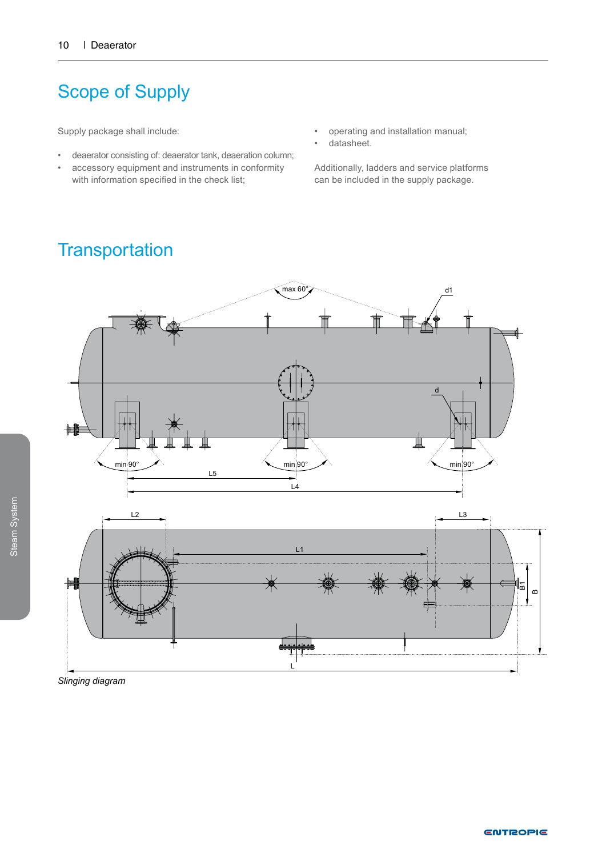## Scope of Supply

Supply package shall include:

- deaerator consisting of: deaerator tank, deaeration column;
- accessory equipment and instruments in conformity with information specified in the check list;
- operating and installation manual;
- datasheet.

Additionally, ladders and service platforms can be included in the supply package.

### **Transportation**



*Slinging diagram*